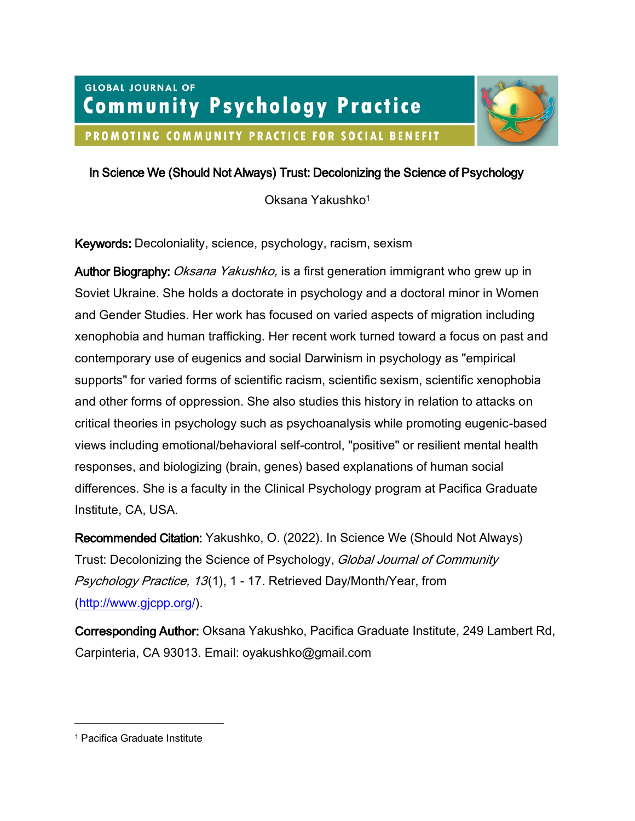# **GLOBAL JOURNAL OF Community Psychology Practice** PROMOTING COMMUNITY PRACTICE FOR SOCIAL BENEFIT



## In Science We (Should Not Always) Trust: Decolonizing the Science of Psychology

Oksana Yakushko<sup>1</sup>

Keywords: Decoloniality, science, psychology, racism, sexism

Author Biography: *Oksana Yakushko*, is a first generation immigrant who grew up in Soviet Ukraine. She holds a doctorate in psychology and a doctoral minor in Women and Gender Studies. Her work has focused on varied aspects of migration including xenophobia and human trafficking. Her recent work turned toward a focus on past and contemporary use of eugenics and social Darwinism in psychology as "empirical supports" for varied forms of scientific racism, scientific sexism, scientific xenophobia and other forms of oppression. She also studies this history in relation to attacks on critical theories in psychology such as psychoanalysis while promoting eugenic-based views including emotional/behavioral self-control, "positive" or resilient mental health responses, and biologizing (brain, genes) based explanations of human social differences. She is a faculty in the Clinical Psychology program at Pacifica Graduate Institute, CA, USA.

Recommended Citation: Yakushko, O. (2022). In Science We (Should Not Always) Trust: Decolonizing the Science of Psychology, Global Journal of Community Psychology Practice, 13(1), 1 - 17. Retrieved Day/Month/Year, from [\(http://www.gjcpp.org/\)](http://www.gjcpp.org/).

Corresponding Author: Oksana Yakushko, Pacifica Graduate Institute, 249 Lambert Rd, Carpinteria, CA 93013. Email: oyakushko@gmail.com

<sup>1</sup> Pacifica Graduate Institute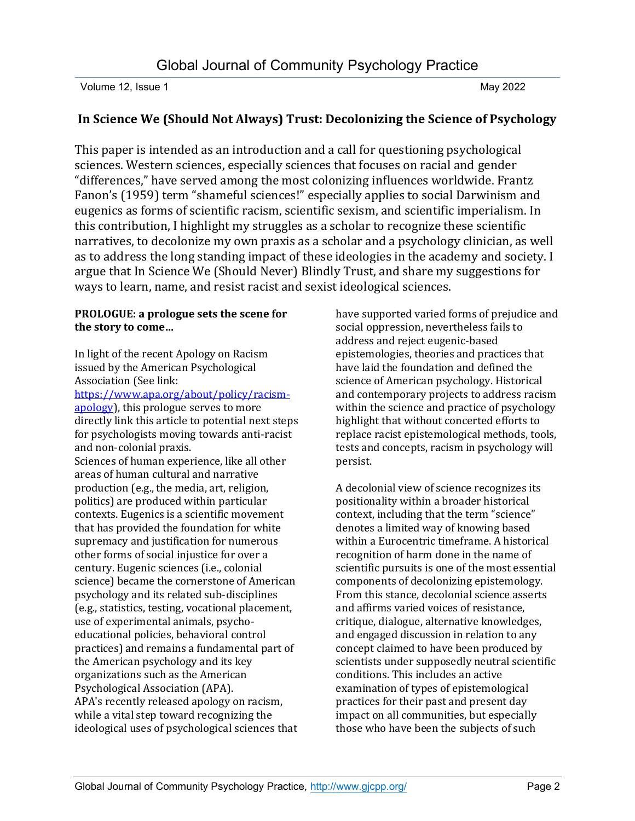### **In Science We (Should Not Always) Trust: Decolonizing the Science of Psychology**

This paper is intended as an introduction and a call for questioning psychological sciences. Western sciences, especially sciences that focuses on racial and gender "differences," have served among the most colonizing influences worldwide. Frantz Fanon's (1959) term "shameful sciences!" especially applies to social Darwinism and eugenics as forms of scientific racism, scientific sexism, and scientific imperialism. In this contribution, I highlight my struggles as a scholar to recognize these scientific narratives, to decolonize my own praxis as a scholar and a psychology clinician, as well as to address the long standing impact of these ideologies in the academy and society. I argue that In Science We (Should Never) Blindly Trust, and share my suggestions for ways to learn, name, and resist racist and sexist ideological sciences.

### **PROLOGUE: a prologue sets the scene for the story to come…**

In light of the recent Apology on Racism issued by the American Psychological Association (See link:

[https://www.apa.org/about/policy/racism](https://www.apa.org/about/policy/racism-apology)[apology\)](https://www.apa.org/about/policy/racism-apology), this prologue serves to more directly link this article to potential next steps for psychologists moving towards anti-racist and non-colonial praxis.

Sciences of human experience, like all other areas of human cultural and narrative production (e.g., the media, art, religion, politics) are produced within particular contexts. Eugenics is a scientific movement that has provided the foundation for white supremacy and justification for numerous other forms of social injustice for over a century. Eugenic sciences (i.e., colonial science) became the cornerstone of American psychology and its related sub-disciplines (e.g., statistics, testing, vocational placement, use of experimental animals, psychoeducational policies, behavioral control practices) and remains a fundamental part of the American psychology and its key organizations such as the American Psychological Association (APA). APA's recently released apology on racism, while a vital step toward recognizing the ideological uses of psychological sciences that have supported varied forms of prejudice and social oppression, nevertheless fails to address and reject eugenic-based epistemologies, theories and practices that have laid the foundation and defined the science of American psychology. Historical and contemporary projects to address racism within the science and practice of psychology highlight that without concerted efforts to replace racist epistemological methods, tools, tests and concepts, racism in psychology will persist.

A decolonial view of science recognizes its positionality within a broader historical context, including that the term "science" denotes a limited way of knowing based within a Eurocentric timeframe. A historical recognition of harm done in the name of scientific pursuits is one of the most essential components of decolonizing epistemology. From this stance, decolonial science asserts and affirms varied voices of resistance, critique, dialogue, alternative knowledges, and engaged discussion in relation to any concept claimed to have been produced by scientists under supposedly neutral scientific conditions. This includes an active examination of types of epistemological practices for their past and present day impact on all communities, but especially those who have been the subjects of such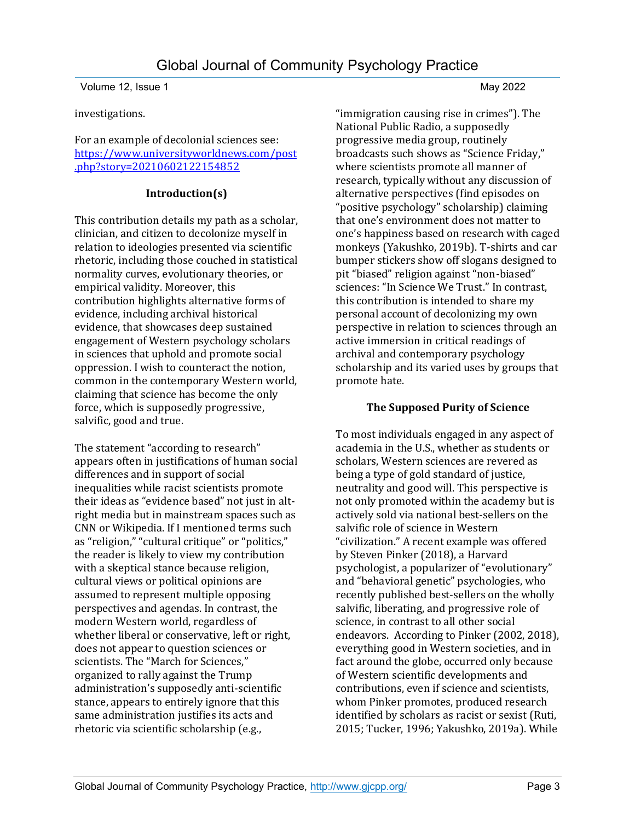investigations.

For an example of decolonial sciences see: [https://www.universityworldnews.com/post](https://www.universityworldnews.com/post.php?story=20210602122154852) [.php?story=20210602122154852](https://www.universityworldnews.com/post.php?story=20210602122154852)

### **Introduction(s)**

This contribution details my path as a scholar, clinician, and citizen to decolonize myself in relation to ideologies presented via scientific rhetoric, including those couched in statistical normality curves, evolutionary theories, or empirical validity. Moreover, this contribution highlights alternative forms of evidence, including archival historical evidence, that showcases deep sustained engagement of Western psychology scholars in sciences that uphold and promote social oppression. I wish to counteract the notion, common in the contemporary Western world, claiming that science has become the only force, which is supposedly progressive, salvific, good and true.

The statement "according to research" appears often in justifications of human social differences and in support of social inequalities while racist scientists promote their ideas as "evidence based" not just in altright media but in mainstream spaces such as CNN or Wikipedia. If I mentioned terms such as "religion," "cultural critique" or "politics," the reader is likely to view my contribution with a skeptical stance because religion, cultural views or political opinions are assumed to represent multiple opposing perspectives and agendas. In contrast, the modern Western world, regardless of whether liberal or conservative, left or right, does not appear to question sciences or scientists. The "March for Sciences," organized to rally against the Trump administration's supposedly anti-scientific stance, appears to entirely ignore that this same administration justifies its acts and rhetoric via scientific scholarship (e.g.,

"immigration causing rise in crimes"). The National Public Radio, a supposedly progressive media group, routinely broadcasts such shows as "Science Friday," where scientists promote all manner of research, typically without any discussion of alternative perspectives (find episodes on "positive psychology" scholarship) claiming that one's environment does not matter to one's happiness based on research with caged monkeys (Yakushko, 2019b). T-shirts and car bumper stickers show off slogans designed to pit "biased" religion against "non-biased" sciences: "In Science We Trust." In contrast, this contribution is intended to share my personal account of decolonizing my own perspective in relation to sciences through an active immersion in critical readings of archival and contemporary psychology scholarship and its varied uses by groups that promote hate.

### **The Supposed Purity of Science**

To most individuals engaged in any aspect of academia in the U.S., whether as students or scholars, Western sciences are revered as being a type of gold standard of justice, neutrality and good will. This perspective is not only promoted within the academy but is actively sold via national best-sellers on the salvific role of science in Western "civilization." A recent example was offered by Steven Pinker (2018), a Harvard psychologist, a popularizer of "evolutionary" and "behavioral genetic" psychologies, who recently published best-sellers on the wholly salvific, liberating, and progressive role of science, in contrast to all other social endeavors. According to Pinker (2002, 2018), everything good in Western societies, and in fact around the globe, occurred only because of Western scientific developments and contributions, even if science and scientists, whom Pinker promotes, produced research identified by scholars as racist or sexist (Ruti, 2015; Tucker, 1996; Yakushko, 2019a). While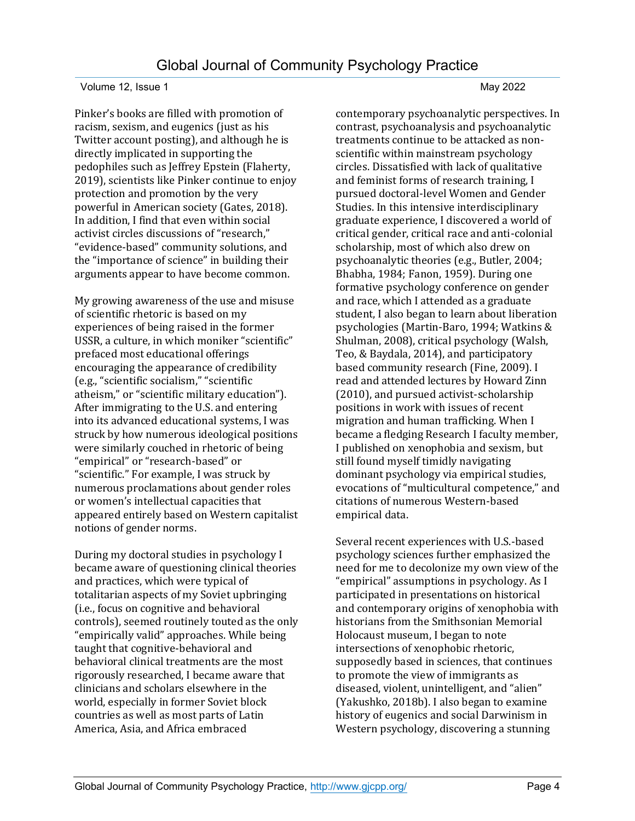Pinker's books are filled with promotion of racism, sexism, and eugenics (just as his Twitter account posting), and although he is directly implicated in supporting the pedophiles such as Jeffrey Epstein (Flaherty, 2019), scientists like Pinker continue to enjoy protection and promotion by the very powerful in American society (Gates, 2018). In addition, I find that even within social activist circles discussions of "research," "evidence-based" community solutions, and the "importance of science" in building their arguments appear to have become common.

My growing awareness of the use and misuse of scientific rhetoric is based on my experiences of being raised in the former USSR, a culture, in which moniker "scientific" prefaced most educational offerings encouraging the appearance of credibility (e.g., "scientific socialism," "scientific atheism," or "scientific military education"). After immigrating to the U.S. and entering into its advanced educational systems, I was struck by how numerous ideological positions were similarly couched in rhetoric of being "empirical" or "research-based" or "scientific." For example, I was struck by numerous proclamations about gender roles or women's intellectual capacities that appeared entirely based on Western capitalist notions of gender norms.

During my doctoral studies in psychology I became aware of questioning clinical theories and practices, which were typical of totalitarian aspects of my Soviet upbringing (i.e., focus on cognitive and behavioral controls), seemed routinely touted as the only "empirically valid" approaches. While being taught that cognitive-behavioral and behavioral clinical treatments are the most rigorously researched, I became aware that clinicians and scholars elsewhere in the world, especially in former Soviet block countries as well as most parts of Latin America, Asia, and Africa embraced

contemporary psychoanalytic perspectives. In contrast, psychoanalysis and psychoanalytic treatments continue to be attacked as nonscientific within mainstream psychology circles. Dissatisfied with lack of qualitative and feminist forms of research training, I pursued doctoral-level Women and Gender Studies. In this intensive interdisciplinary graduate experience, I discovered a world of critical gender, critical race and anti-colonial scholarship, most of which also drew on psychoanalytic theories (e.g., Butler, 2004; Bhabha, 1984; Fanon, 1959). During one formative psychology conference on gender and race, which I attended as a graduate student, I also began to learn about liberation psychologies (Martin-Baro, 1994; Watkins & Shulman, 2008), critical psychology (Walsh, Teo, & Baydala, 2014), and participatory based community research (Fine, 2009). I read and attended lectures by Howard Zinn (2010), and pursued activist-scholarship positions in work with issues of recent migration and human trafficking. When I became a fledging Research I faculty member, I published on xenophobia and sexism, but still found myself timidly navigating dominant psychology via empirical studies, evocations of "multicultural competence," and citations of numerous Western-based empirical data.

Several recent experiences with U.S.-based psychology sciences further emphasized the need for me to decolonize my own view of the "empirical" assumptions in psychology. As I participated in presentations on historical and contemporary origins of xenophobia with historians from the Smithsonian Memorial Holocaust museum, I began to note intersections of xenophobic rhetoric, supposedly based in sciences, that continues to promote the view of immigrants as diseased, violent, unintelligent, and "alien" (Yakushko, 2018b). I also began to examine history of eugenics and social Darwinism in Western psychology, discovering a stunning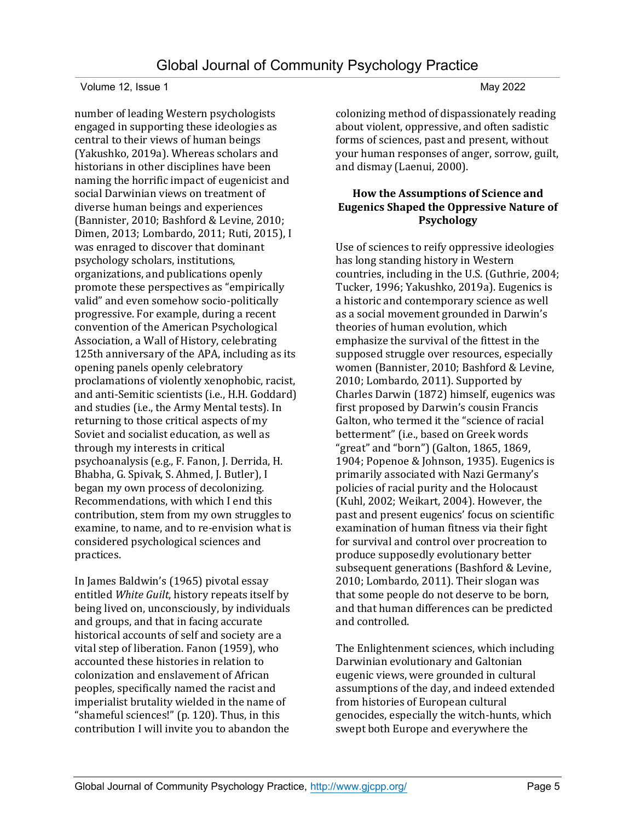number of leading Western psychologists engaged in supporting these ideologies as central to their views of human beings (Yakushko, 2019a). Whereas scholars and historians in other disciplines have been naming the horrific impact of eugenicist and social Darwinian views on treatment of diverse human beings and experiences (Bannister, 2010; Bashford & Levine, 2010; Dimen, 2013; Lombardo, 2011; Ruti, 2015), I was enraged to discover that dominant psychology scholars, institutions, organizations, and publications openly promote these perspectives as "empirically valid" and even somehow socio-politically progressive. For example, during a recent convention of the American Psychological Association, a Wall of History, celebrating 125th anniversary of the APA, including as its opening panels openly celebratory proclamations of violently xenophobic, racist, and anti-Semitic scientists (i.e., H.H. Goddard) and studies (i.e., the Army Mental tests). In returning to those critical aspects of my Soviet and socialist education, as well as through my interests in critical psychoanalysis (e.g., F. Fanon, J. Derrida, H. Bhabha, G. Spivak, S. Ahmed, J. Butler), I began my own process of decolonizing. Recommendations, with which I end this contribution, stem from my own struggles to examine, to name, and to re-envision what is considered psychological sciences and practices.

In James Baldwin's (1965) pivotal essay entitled *White Guilt*, history repeats itself by being lived on, unconsciously, by individuals and groups, and that in facing accurate historical accounts of self and society are a vital step of liberation. Fanon (1959), who accounted these histories in relation to colonization and enslavement of African peoples, specifically named the racist and imperialist brutality wielded in the name of "shameful sciences!" (p. 120). Thus, in this contribution I will invite you to abandon the

colonizing method of dispassionately reading about violent, oppressive, and often sadistic forms of sciences, past and present, without your human responses of anger, sorrow, guilt, and dismay (Laenui, 2000).

### **How the Assumptions of Science and Eugenics Shaped the Oppressive Nature of Psychology**

Use of sciences to reify oppressive ideologies has long standing history in Western countries, including in the U.S. (Guthrie, 2004; Tucker, 1996; Yakushko, 2019a). Eugenics is a historic and contemporary science as well as a social movement grounded in Darwin's theories of human evolution, which emphasize the survival of the fittest in the supposed struggle over resources, especially women (Bannister, 2010; Bashford & Levine, 2010; Lombardo, 2011). Supported by Charles Darwin (1872) himself, eugenics was first proposed by Darwin's cousin Francis Galton, who termed it the "science of racial betterment" (i.e., based on Greek words "great" and "born") (Galton, 1865, 1869, 1904; Popenoe & Johnson, 1935). Eugenics is primarily associated with Nazi Germany's policies of racial purity and the Holocaust (Kuhl, 2002; Weikart, 2004). However, the past and present eugenics' focus on scientific examination of human fitness via their fight for survival and control over procreation to produce supposedly evolutionary better subsequent generations (Bashford & Levine, 2010; Lombardo, 2011). Their slogan was that some people do not deserve to be born, and that human differences can be predicted and controlled.

The Enlightenment sciences, which including Darwinian evolutionary and Galtonian eugenic views, were grounded in cultural assumptions of the day, and indeed extended from histories of European cultural genocides, especially the witch-hunts, which swept both Europe and everywhere the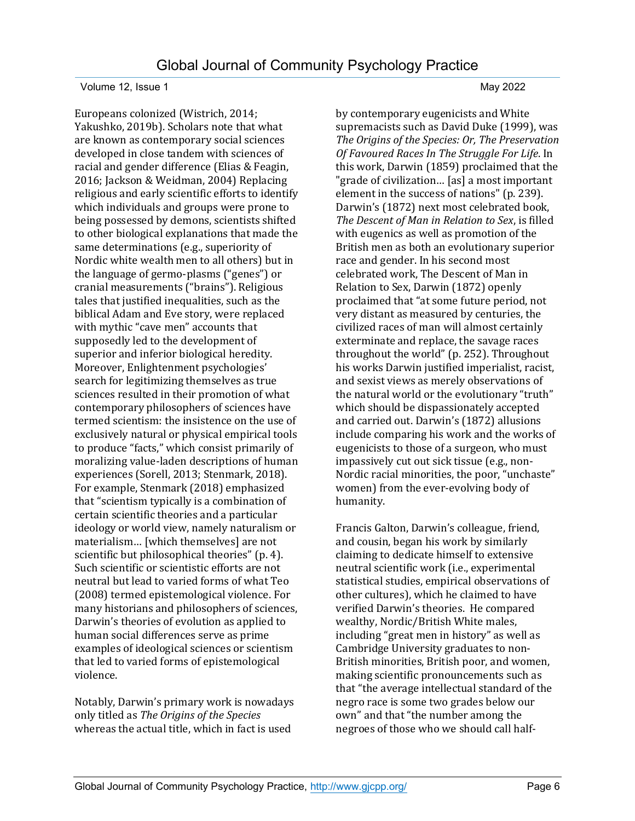Europeans colonized (Wistrich, 2014; Yakushko, 2019b). Scholars note that what are known as contemporary social sciences developed in close tandem with sciences of racial and gender difference (Elias & Feagin, 2016; Jackson & Weidman, 2004) Replacing religious and early scientific efforts to identify which individuals and groups were prone to being possessed by demons, scientists shifted to other biological explanations that made the same determinations (e.g., superiority of Nordic white wealth men to all others) but in the language of germo-plasms ("genes") or cranial measurements ("brains"). Religious tales that justified inequalities, such as the biblical Adam and Eve story, were replaced with mythic "cave men" accounts that supposedly led to the development of superior and inferior biological heredity. Moreover, Enlightenment psychologies' search for legitimizing themselves as true sciences resulted in their promotion of what contemporary philosophers of sciences have termed scientism: the insistence on the use of exclusively natural or physical empirical tools to produce "facts," which consist primarily of moralizing value-laden descriptions of human experiences (Sorell, 2013; Stenmark, 2018). For example, Stenmark (2018) emphasized that "scientism typically is a combination of certain scientific theories and a particular ideology or world view, namely naturalism or materialism… [which themselves] are not scientific but philosophical theories" (p. 4). Such scientific or scientistic efforts are not neutral but lead to varied forms of what Teo (2008) termed epistemological violence. For many historians and philosophers of sciences, Darwin's theories of evolution as applied to human social differences serve as prime examples of ideological sciences or scientism that led to varied forms of epistemological violence.

Notably, Darwin's primary work is nowadays only titled as *The Origins of the Species* whereas the actual title, which in fact is used

by contemporary eugenicists and White supremacists such as David Duke (1999), was *The Origins of the Species: Or, The Preservation Of Favoured Races In The Struggle For Life*. In this work, Darwin (1859) proclaimed that the "grade of civilization… [as] a most important element in the success of nations" (p. 239). Darwin's (1872) next most celebrated book, *The Descent of Man in Relation to Sex*, is filled with eugenics as well as promotion of the British men as both an evolutionary superior race and gender. In his second most celebrated work, The Descent of Man in Relation to Sex, Darwin (1872) openly proclaimed that "at some future period, not very distant as measured by centuries, the civilized races of man will almost certainly exterminate and replace, the savage races throughout the world" (p. 252). Throughout his works Darwin justified imperialist, racist, and sexist views as merely observations of the natural world or the evolutionary "truth" which should be dispassionately accepted and carried out. Darwin's (1872) allusions include comparing his work and the works of eugenicists to those of a surgeon, who must impassively cut out sick tissue (e.g., non-Nordic racial minorities, the poor, "unchaste" women) from the ever-evolving body of humanity.

Francis Galton, Darwin's colleague, friend, and cousin, began his work by similarly claiming to dedicate himself to extensive neutral scientific work (i.e., experimental statistical studies, empirical observations of other cultures), which he claimed to have verified Darwin's theories. He compared wealthy, Nordic/British White males, including "great men in history" as well as Cambridge University graduates to non-British minorities, British poor, and women, making scientific pronouncements such as that "the average intellectual standard of the negro race is some two grades below our own" and that "the number among the negroes of those who we should call half-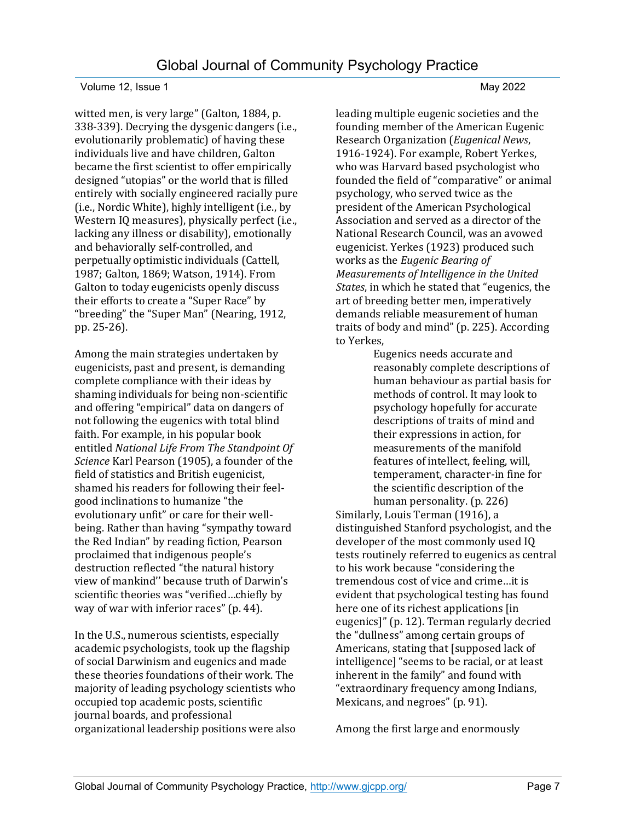witted men, is very large" (Galton, 1884, p. 338-339). Decrying the dysgenic dangers (i.e., evolutionarily problematic) of having these individuals live and have children, Galton became the first scientist to offer empirically designed "utopias" or the world that is filled entirely with socially engineered racially pure (i.e., Nordic White), highly intelligent (i.e., by Western IQ measures), physically perfect (i.e., lacking any illness or disability), emotionally and behaviorally self-controlled, and perpetually optimistic individuals (Cattell, 1987; Galton, 1869; Watson, 1914). From Galton to today eugenicists openly discuss their efforts to create a "Super Race" by "breeding" the "Super Man" (Nearing, 1912, pp. 25-26).

Among the main strategies undertaken by eugenicists, past and present, is demanding complete compliance with their ideas by shaming individuals for being non-scientific and offering "empirical" data on dangers of not following the eugenics with total blind faith. For example, in his popular book entitled *National Life From The Standpoint Of Science* Karl Pearson (1905), a founder of the field of statistics and British eugenicist, shamed his readers for following their feelgood inclinations to humanize "the evolutionary unfit" or care for their wellbeing. Rather than having "sympathy toward the Red Indian" by reading fiction, Pearson proclaimed that indigenous people's destruction reflected "the natural history view of mankind'' because truth of Darwin's scientific theories was "verified…chiefly by way of war with inferior races" (p. 44).

In the U.S., numerous scientists, especially academic psychologists, took up the flagship of social Darwinism and eugenics and made these theories foundations of their work. The majority of leading psychology scientists who occupied top academic posts, scientific journal boards, and professional organizational leadership positions were also

leading multiple eugenic societies and the founding member of the American Eugenic Research Organization (*Eugenical News*, 1916-1924). For example, Robert Yerkes, who was Harvard based psychologist who founded the field of "comparative" or animal psychology, who served twice as the president of the American Psychological Association and served as a director of the National Research Council, was an avowed eugenicist. Yerkes (1923) produced such works as the *Eugenic Bearing of Measurements of Intelligence in the United States*, in which he stated that "eugenics, the art of breeding better men, imperatively demands reliable measurement of human traits of body and mind" (p. 225). According to Yerkes,

Eugenics needs accurate and reasonably complete descriptions of human behaviour as partial basis for methods of control. It may look to psychology hopefully for accurate descriptions of traits of mind and their expressions in action, for measurements of the manifold features of intellect, feeling, will, temperament, character-in fine for the scientific description of the human personality. (p. 226)

Similarly, Louis Terman (1916), a distinguished Stanford psychologist, and the developer of the most commonly used IQ tests routinely referred to eugenics as central to his work because "considering the tremendous cost of vice and crime…it is evident that psychological testing has found here one of its richest applications [in eugenics]" (p. 12). Terman regularly decried the "dullness" among certain groups of Americans, stating that [supposed lack of intelligence] "seems to be racial, or at least inherent in the family" and found with "extraordinary frequency among Indians, Mexicans, and negroes" (p. 91).

Among the first large and enormously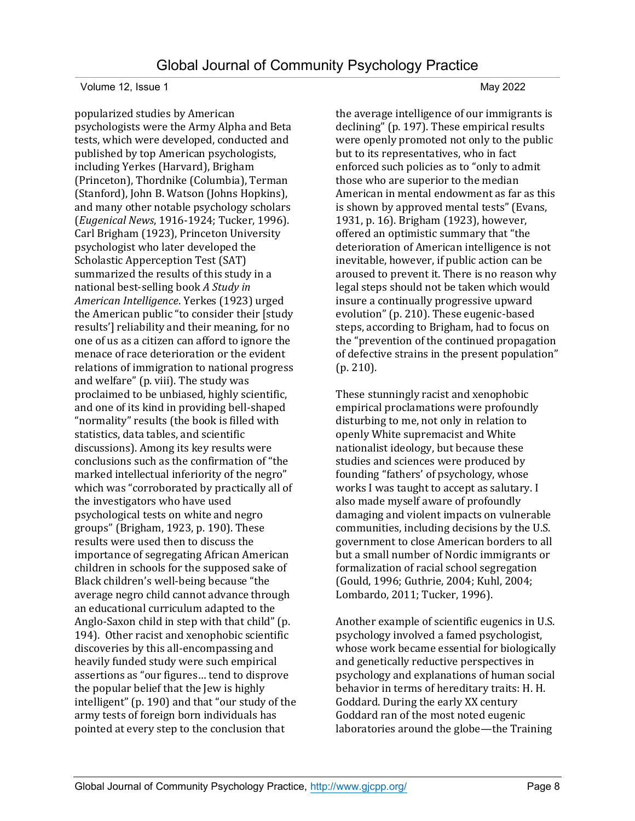popularized studies by American psychologists were the Army Alpha and Beta tests, which were developed, conducted and published by top American psychologists, including Yerkes (Harvard), Brigham (Princeton), Thordnike (Columbia), Terman (Stanford), John B. Watson (Johns Hopkins), and many other notable psychology scholars (*Eugenical News*, 1916-1924; Tucker, 1996). Carl Brigham (1923), Princeton University psychologist who later developed the Scholastic Apperception Test (SAT) summarized the results of this study in a national best-selling book *A Study in American Intelligence*. Yerkes (1923) urged the American public "to consider their [study results'] reliability and their meaning, for no one of us as a citizen can afford to ignore the menace of race deterioration or the evident relations of immigration to national progress and welfare" (p. viii). The study was proclaimed to be unbiased, highly scientific, and one of its kind in providing bell-shaped "normality" results (the book is filled with statistics, data tables, and scientific discussions). Among its key results were conclusions such as the confirmation of "the marked intellectual inferiority of the negro" which was "corroborated by practically all of the investigators who have used psychological tests on white and negro groups" (Brigham, 1923, p. 190). These results were used then to discuss the importance of segregating African American children in schools for the supposed sake of Black children's well-being because "the average negro child cannot advance through an educational curriculum adapted to the Anglo-Saxon child in step with that child" (p. 194). Other racist and xenophobic scientific discoveries by this all-encompassing and heavily funded study were such empirical assertions as "our figures… tend to disprove the popular belief that the Jew is highly intelligent" (p. 190) and that "our study of the army tests of foreign born individuals has pointed at every step to the conclusion that

the average intelligence of our immigrants is declining" (p. 197). These empirical results were openly promoted not only to the public but to its representatives, who in fact enforced such policies as to "only to admit those who are superior to the median American in mental endowment as far as this is shown by approved mental tests" (Evans, 1931, p. 16). Brigham (1923), however, offered an optimistic summary that "the deterioration of American intelligence is not inevitable, however, if public action can be aroused to prevent it. There is no reason why legal steps should not be taken which would insure a continually progressive upward evolution" (p. 210). These eugenic-based steps, according to Brigham, had to focus on the "prevention of the continued propagation of defective strains in the present population" (p. 210).

These stunningly racist and xenophobic empirical proclamations were profoundly disturbing to me, not only in relation to openly White supremacist and White nationalist ideology, but because these studies and sciences were produced by founding "fathers' of psychology, whose works I was taught to accept as salutary. I also made myself aware of profoundly damaging and violent impacts on vulnerable communities, including decisions by the U.S. government to close American borders to all but a small number of Nordic immigrants or formalization of racial school segregation (Gould, 1996; Guthrie, 2004; Kuhl, 2004; Lombardo, 2011; Tucker, 1996).

Another example of scientific eugenics in U.S. psychology involved a famed psychologist, whose work became essential for biologically and genetically reductive perspectives in psychology and explanations of human social behavior in terms of hereditary traits: H. H. Goddard. During the early XX century Goddard ran of the most noted eugenic laboratories around the globe—the Training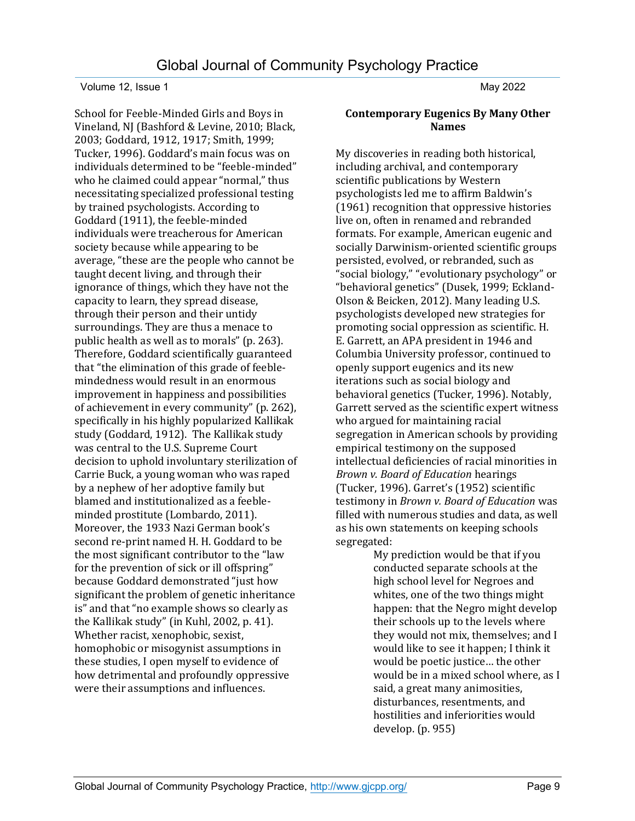School for Feeble-Minded Girls and Boys in Vineland, NJ (Bashford & Levine, 2010; Black, 2003; Goddard, 1912, 1917; Smith, 1999; Tucker, 1996). Goddard's main focus was on individuals determined to be "feeble-minded" who he claimed could appear "normal," thus necessitating specialized professional testing by trained psychologists. According to Goddard (1911), the feeble-minded individuals were treacherous for American society because while appearing to be average, "these are the people who cannot be taught decent living, and through their ignorance of things, which they have not the capacity to learn, they spread disease, through their person and their untidy surroundings. They are thus a menace to public health as well as to morals" (p. 263). Therefore, Goddard scientifically guaranteed that "the elimination of this grade of feeblemindedness would result in an enormous improvement in happiness and possibilities of achievement in every community" (p. 262), specifically in his highly popularized Kallikak study (Goddard, 1912). The Kallikak study was central to the U.S. Supreme Court decision to uphold involuntary sterilization of Carrie Buck, a young woman who was raped by a nephew of her adoptive family but blamed and institutionalized as a feebleminded prostitute (Lombardo, 2011). Moreover, the 1933 Nazi German book's second re-print named H. H. Goddard to be the most significant contributor to the "law for the prevention of sick or ill offspring" because Goddard demonstrated "just how significant the problem of genetic inheritance is" and that "no example shows so clearly as the Kallikak study" (in Kuhl, 2002, p. 41). Whether racist, xenophobic, sexist, homophobic or misogynist assumptions in these studies, I open myself to evidence of how detrimental and profoundly oppressive were their assumptions and influences.

### **Contemporary Eugenics By Many Other Names**

My discoveries in reading both historical, including archival, and contemporary scientific publications by Western psychologists led me to affirm Baldwin's (1961) recognition that oppressive histories live on, often in renamed and rebranded formats. For example, American eugenic and socially Darwinism-oriented scientific groups persisted, evolved, or rebranded, such as "social biology," "evolutionary psychology" or "behavioral genetics" (Dusek, 1999; Eckland-Olson & Beicken, 2012). Many leading U.S. psychologists developed new strategies for promoting social oppression as scientific. H. E. Garrett, an APA president in 1946 and Columbia University professor, continued to openly support eugenics and its new iterations such as social biology and behavioral genetics (Tucker, 1996). Notably, Garrett served as the scientific expert witness who argued for maintaining racial segregation in American schools by providing empirical testimony on the supposed intellectual deficiencies of racial minorities in *Brown v. Board of Education* hearings (Tucker, 1996). Garret's (1952) scientific testimony in *Brown v. Board of Education* was filled with numerous studies and data, as well as his own statements on keeping schools segregated:

> My prediction would be that if you conducted separate schools at the high school level for Negroes and whites, one of the two things might happen: that the Negro might develop their schools up to the levels where they would not mix, themselves; and I would like to see it happen; I think it would be poetic justice… the other would be in a mixed school where, as I said, a great many animosities, disturbances, resentments, and hostilities and inferiorities would develop. (p. 955)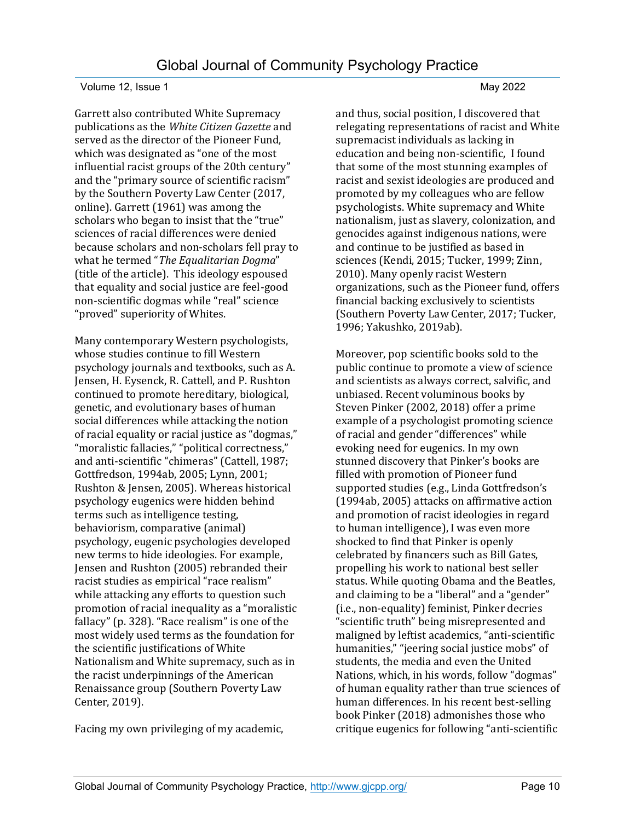Garrett also contributed White Supremacy publications as the *White Citizen Gazette* and served as the director of the Pioneer Fund, which was designated as "one of the most influential racist groups of the 20th century" and the "primary source of scientific racism" by the Southern Poverty Law Center (2017, online). Garrett (1961) was among the scholars who began to insist that the "true" sciences of racial differences were denied because scholars and non-scholars fell pray to what he termed "*The Equalitarian Dogma*" (title of the article). This ideology espoused that equality and social justice are feel-good non-scientific dogmas while "real" science "proved" superiority of Whites.

Many contemporary Western psychologists, whose studies continue to fill Western psychology journals and textbooks, such as A. Jensen, H. Eysenck, R. Cattell, and P. Rushton continued to promote hereditary, biological, genetic, and evolutionary bases of human social differences while attacking the notion of racial equality or racial justice as "dogmas," "moralistic fallacies," "political correctness," and anti-scientific "chimeras" (Cattell, 1987; Gottfredson, 1994ab, 2005; Lynn, 2001; Rushton & Jensen, 2005). Whereas historical psychology eugenics were hidden behind terms such as intelligence testing, behaviorism, comparative (animal) psychology, eugenic psychologies developed new terms to hide ideologies. For example, Jensen and Rushton (2005) rebranded their racist studies as empirical "race realism" while attacking any efforts to question such promotion of racial inequality as a "moralistic fallacy" (p. 328). "Race realism" is one of the most widely used terms as the foundation for the scientific justifications of White Nationalism and White supremacy, such as in the racist underpinnings of the American Renaissance group (Southern Poverty Law Center, 2019).

Facing my own privileging of my academic,

and thus, social position, I discovered that relegating representations of racist and White supremacist individuals as lacking in education and being non-scientific, I found that some of the most stunning examples of racist and sexist ideologies are produced and promoted by my colleagues who are fellow psychologists. White supremacy and White nationalism, just as slavery, colonization, and genocides against indigenous nations, were and continue to be justified as based in sciences (Kendi, 2015; Tucker, 1999; Zinn, 2010). Many openly racist Western organizations, such as the Pioneer fund, offers financial backing exclusively to scientists (Southern Poverty Law Center, 2017; Tucker,

1996; Yakushko, 2019ab).

Moreover, pop scientific books sold to the public continue to promote a view of science and scientists as always correct, salvific, and unbiased. Recent voluminous books by Steven Pinker (2002, 2018) offer a prime example of a psychologist promoting science of racial and gender "differences" while evoking need for eugenics. In my own stunned discovery that Pinker's books are filled with promotion of Pioneer fund supported studies (e.g., Linda Gottfredson's (1994ab, 2005) attacks on affirmative action and promotion of racist ideologies in regard to human intelligence), I was even more shocked to find that Pinker is openly celebrated by financers such as Bill Gates, propelling his work to national best seller status. While quoting Obama and the Beatles, and claiming to be a "liberal" and a "gender" (i.e., non-equality) feminist, Pinker decries "scientific truth" being misrepresented and maligned by leftist academics, "anti-scientific humanities," "jeering social justice mobs" of students, the media and even the United Nations, which, in his words, follow "dogmas" of human equality rather than true sciences of human differences. In his recent best-selling book Pinker (2018) admonishes those who critique eugenics for following "anti-scientific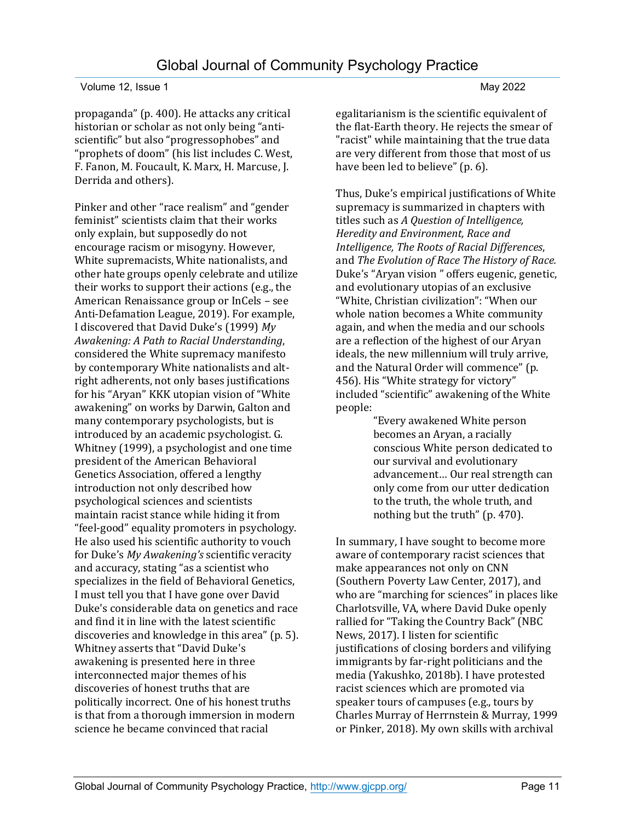propaganda" (p. 400). He attacks any critical historian or scholar as not only being "antiscientific" but also "progressophobes" and "prophets of doom" (his list includes C. West, F. Fanon, M. Foucault, K. Marx, H. Marcuse, J. Derrida and others).

Pinker and other "race realism" and "gender feminist" scientists claim that their works only explain, but supposedly do not encourage racism or misogyny. However, White supremacists, White nationalists, and other hate groups openly celebrate and utilize their works to support their actions (e.g., the American Renaissance group or InCels – see Anti-Defamation League, 2019). For example, I discovered that David Duke's (1999) *My Awakening: A Path to Racial Understanding*, considered the White supremacy manifesto by contemporary White nationalists and altright adherents, not only bases justifications for his "Aryan" KKK utopian vision of "White awakening" on works by Darwin, Galton and many contemporary psychologists, but is introduced by an academic psychologist. G. Whitney (1999), a psychologist and one time president of the American Behavioral Genetics Association, offered a lengthy introduction not only described how psychological sciences and scientists maintain racist stance while hiding it from "feel-good" equality promoters in psychology. He also used his scientific authority to vouch for Duke's *My Awakening's* scientific veracity and accuracy, stating "as a scientist who specializes in the field of Behavioral Genetics, I must tell you that I have gone over David Duke's considerable data on genetics and race and find it in line with the latest scientific discoveries and knowledge in this area" (p. 5). Whitney asserts that "David Duke's awakening is presented here in three interconnected major themes of his discoveries of honest truths that are politically incorrect. One of his honest truths is that from a thorough immersion in modern science he became convinced that racial

egalitarianism is the scientific equivalent of the flat-Earth theory. He rejects the smear of "racist" while maintaining that the true data are very different from those that most of us have been led to believe" (p. 6).

Thus, Duke's empirical justifications of White supremacy is summarized in chapters with titles such as *A Question of Intelligence, Heredity and Environment, Race and Intelligence, The Roots of Racial Differences*, and *The Evolution of Race The History of Race.* Duke's "Aryan vision " offers eugenic, genetic, and evolutionary utopias of an exclusive "White, Christian civilization": "When our whole nation becomes a White community again, and when the media and our schools are a reflection of the highest of our Aryan ideals, the new millennium will truly arrive, and the Natural Order will commence" (p. 456). His "White strategy for victory" included "scientific" awakening of the White people:

"Every awakened White person becomes an Aryan, a racially conscious White person dedicated to our survival and evolutionary advancement… Our real strength can only come from our utter dedication to the truth, the whole truth, and nothing but the truth" (p. 470).

In summary, I have sought to become more aware of contemporary racist sciences that make appearances not only on CNN (Southern Poverty Law Center, 2017), and who are "marching for sciences" in places like Charlotsville, VA, where David Duke openly rallied for "Taking the Country Back" (NBC News, 2017). I listen for scientific justifications of closing borders and vilifying immigrants by far-right politicians and the media (Yakushko, 2018b). I have protested racist sciences which are promoted via speaker tours of campuses (e.g., tours by Charles Murray of Herrnstein & Murray, 1999 or Pinker, 2018). My own skills with archival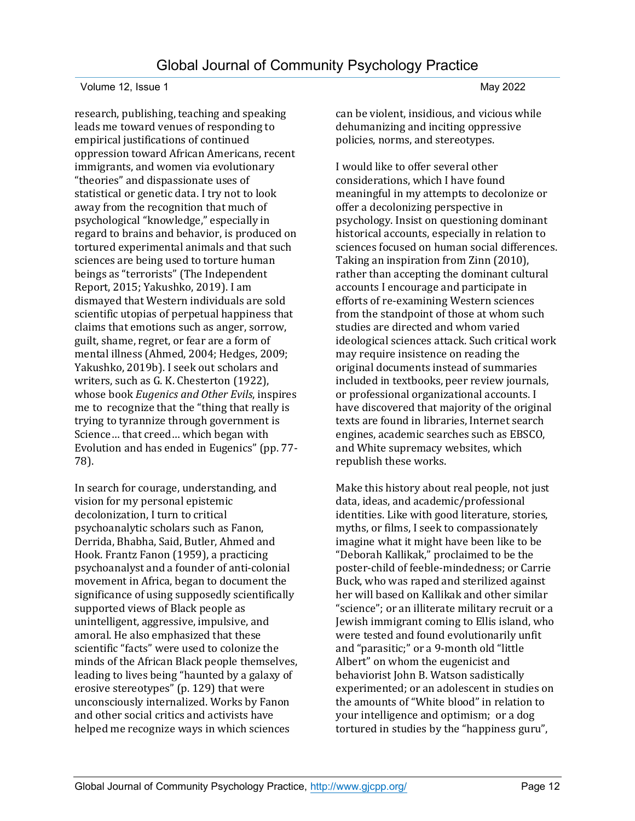research, publishing, teaching and speaking leads me toward venues of responding to empirical justifications of continued oppression toward African Americans, recent immigrants, and women via evolutionary "theories" and dispassionate uses of statistical or genetic data. I try not to look away from the recognition that much of psychological "knowledge," especially in regard to brains and behavior, is produced on tortured experimental animals and that such sciences are being used to torture human beings as "terrorists" (The Independent Report, 2015; Yakushko, 2019). I am dismayed that Western individuals are sold scientific utopias of perpetual happiness that claims that emotions such as anger, sorrow, guilt, shame, regret, or fear are a form of mental illness (Ahmed, 2004; Hedges, 2009; Yakushko, 2019b). I seek out scholars and writers, such as G. K. Chesterton (1922), whose book *Eugenics and Other Evils*, inspires me to recognize that the "thing that really is trying to tyrannize through government is Science… that creed… which began with Evolution and has ended in Eugenics" (pp. 77- 78).

In search for courage, understanding, and vision for my personal epistemic decolonization, I turn to critical psychoanalytic scholars such as Fanon, Derrida, Bhabha, Said, Butler, Ahmed and Hook. Frantz Fanon (1959), a practicing psychoanalyst and a founder of anti-colonial movement in Africa, began to document the significance of using supposedly scientifically supported views of Black people as unintelligent, aggressive, impulsive, and amoral. He also emphasized that these scientific "facts" were used to colonize the minds of the African Black people themselves, leading to lives being "haunted by a galaxy of erosive stereotypes" (p. 129) that were unconsciously internalized. Works by Fanon and other social critics and activists have helped me recognize ways in which sciences

can be violent, insidious, and vicious while dehumanizing and inciting oppressive policies, norms, and stereotypes.

I would like to offer several other considerations, which I have found meaningful in my attempts to decolonize or offer a decolonizing perspective in psychology. Insist on questioning dominant historical accounts, especially in relation to sciences focused on human social differences. Taking an inspiration from Zinn (2010), rather than accepting the dominant cultural accounts I encourage and participate in efforts of re-examining Western sciences from the standpoint of those at whom such studies are directed and whom varied ideological sciences attack. Such critical work may require insistence on reading the original documents instead of summaries included in textbooks, peer review journals, or professional organizational accounts. I have discovered that majority of the original texts are found in libraries, Internet search engines, academic searches such as EBSCO, and White supremacy websites, which republish these works.

Make this history about real people, not just data, ideas, and academic/professional identities. Like with good literature, stories, myths, or films, I seek to compassionately imagine what it might have been like to be "Deborah Kallikak," proclaimed to be the poster-child of feeble-mindedness; or Carrie Buck, who was raped and sterilized against her will based on Kallikak and other similar "science"; or an illiterate military recruit or a Jewish immigrant coming to Ellis island, who were tested and found evolutionarily unfit and "parasitic;" or a 9-month old "little Albert" on whom the eugenicist and behaviorist John B. Watson sadistically experimented; or an adolescent in studies on the amounts of "White blood" in relation to your intelligence and optimism; or a dog tortured in studies by the "happiness guru",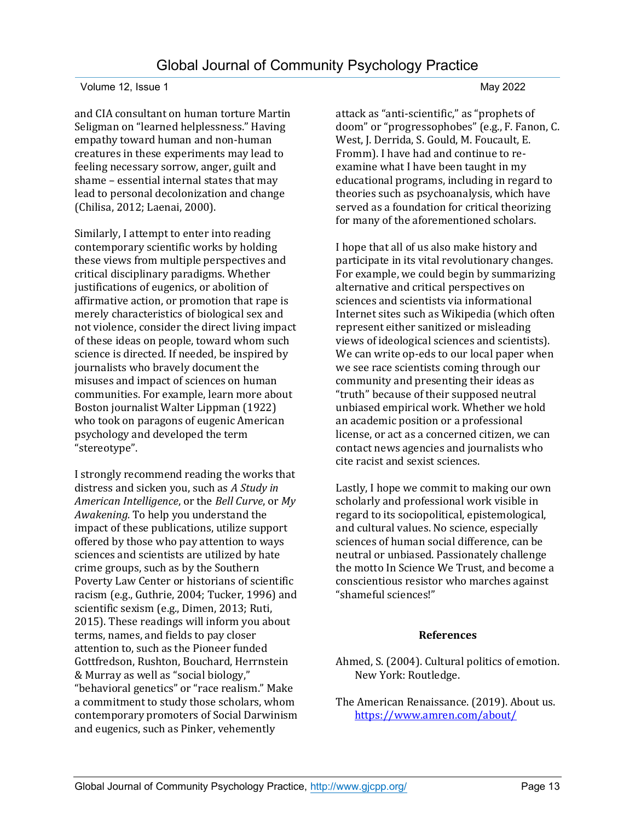and CIA consultant on human torture Martin Seligman on "learned helplessness." Having empathy toward human and non-human creatures in these experiments may lead to feeling necessary sorrow, anger, guilt and shame – essential internal states that may lead to personal decolonization and change (Chilisa, 2012; Laenai, 2000).

Similarly, I attempt to enter into reading contemporary scientific works by holding these views from multiple perspectives and critical disciplinary paradigms. Whether justifications of eugenics, or abolition of affirmative action, or promotion that rape is merely characteristics of biological sex and not violence, consider the direct living impact of these ideas on people, toward whom such science is directed. If needed, be inspired by journalists who bravely document the misuses and impact of sciences on human communities. For example, learn more about Boston journalist Walter Lippman (1922) who took on paragons of eugenic American psychology and developed the term "stereotype".

I strongly recommend reading the works that distress and sicken you, such as *A Study in American Intelligence*, or the *Bell Curve*, or *My Awakening.* To help you understand the impact of these publications, utilize support offered by those who pay attention to ways sciences and scientists are utilized by hate crime groups, such as by the Southern Poverty Law Center or historians of scientific racism (e.g., Guthrie, 2004; Tucker, 1996) and scientific sexism (e.g., Dimen, 2013; Ruti, 2015). These readings will inform you about terms, names, and fields to pay closer attention to, such as the Pioneer funded Gottfredson, Rushton, Bouchard, Herrnstein & Murray as well as "social biology," "behavioral genetics" or "race realism." Make a commitment to study those scholars, whom contemporary promoters of Social Darwinism and eugenics, such as Pinker, vehemently

attack as "anti-scientific," as "prophets of doom" or "progressophobes" (e.g., F. Fanon, C. West, J. Derrida, S. Gould, M. Foucault, E. Fromm). I have had and continue to reexamine what I have been taught in my educational programs, including in regard to theories such as psychoanalysis, which have served as a foundation for critical theorizing for many of the aforementioned scholars.

I hope that all of us also make history and participate in its vital revolutionary changes. For example, we could begin by summarizing alternative and critical perspectives on sciences and scientists via informational Internet sites such as Wikipedia (which often represent either sanitized or misleading views of ideological sciences and scientists). We can write op-eds to our local paper when we see race scientists coming through our community and presenting their ideas as "truth" because of their supposed neutral unbiased empirical work. Whether we hold an academic position or a professional license, or act as a concerned citizen, we can contact news agencies and journalists who cite racist and sexist sciences.

Lastly, I hope we commit to making our own scholarly and professional work visible in regard to its sociopolitical, epistemological, and cultural values. No science, especially sciences of human social difference, can be neutral or unbiased. Passionately challenge the motto In Science We Trust, and become a conscientious resistor who marches against "shameful sciences!"

### **References**

- Ahmed, S. (2004). Cultural politics of emotion. New York: Routledge.
- The American Renaissance. (2019). About us. <https://www.amren.com/about/>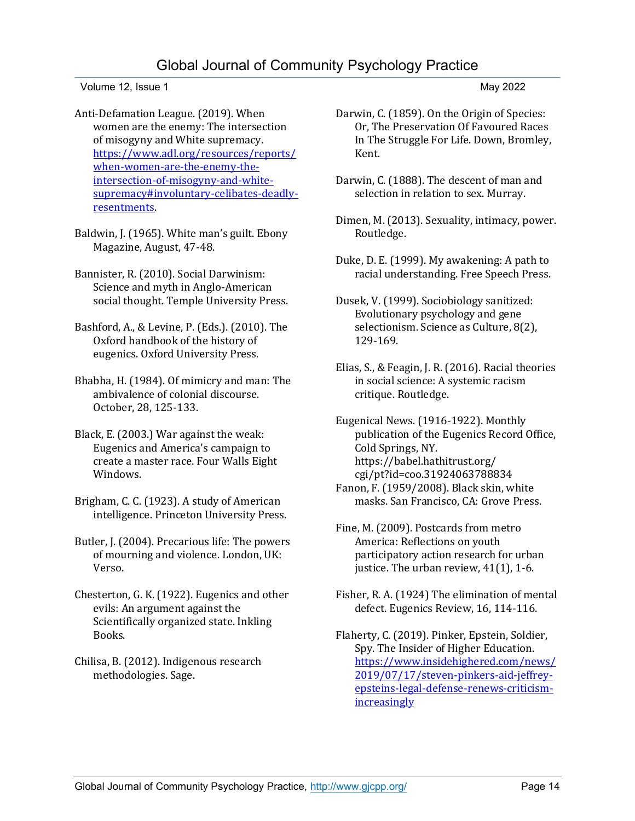Anti-Defamation League. (2019). When women are the enemy: The intersection of misogyny and White supremacy. [https://www.adl.org/resources/reports/](https://www.adl.org/resources/reports/when-women-are-the-enemy-the-intersection-of-misogyny-and-white-supremacy#involuntary-celibates-deadly-resentments) [when-women-are-the-enemy-the](https://www.adl.org/resources/reports/when-women-are-the-enemy-the-intersection-of-misogyny-and-white-supremacy#involuntary-celibates-deadly-resentments)[intersection-of-misogyny-and-white](https://www.adl.org/resources/reports/when-women-are-the-enemy-the-intersection-of-misogyny-and-white-supremacy#involuntary-celibates-deadly-resentments)[supremacy#involuntary-celibates-deadly](https://www.adl.org/resources/reports/when-women-are-the-enemy-the-intersection-of-misogyny-and-white-supremacy#involuntary-celibates-deadly-resentments)[resentments.](https://www.adl.org/resources/reports/when-women-are-the-enemy-the-intersection-of-misogyny-and-white-supremacy#involuntary-celibates-deadly-resentments)

Baldwin, J. (1965). White man's guilt. Ebony Magazine, August, 47-48.

Bannister, R. (2010). Social Darwinism: Science and myth in Anglo-American social thought. Temple University Press.

Bashford, A., & Levine, P. (Eds.). (2010). The Oxford handbook of the history of eugenics. Oxford University Press.

Bhabha, H. (1984). Of mimicry and man: The ambivalence of colonial discourse. October, 28, 125-133.

Black, E. (2003.) War against the weak: Eugenics and America's campaign to create a master race. Four Walls Eight Windows.

Brigham, C. C. (1923). A study of American intelligence. Princeton University Press.

Butler, J. (2004). Precarious life: The powers of mourning and violence. London, UK: Verso.

Chesterton, G. K. (1922). Eugenics and other evils: An argument against the Scientifically organized state. Inkling Books.

Chilisa, B. (2012). Indigenous research methodologies. Sage.

- Darwin, C. (1859). On the Origin of Species: Or, The Preservation Of Favoured Races In The Struggle For Life. Down, Bromley, Kent.
- Darwin, C. (1888). The descent of man and selection in relation to sex. Murray.
- Dimen, M. (2013). Sexuality, intimacy, power. Routledge.
- Duke, D. E. (1999). My awakening: A path to racial understanding. Free Speech Press.
- Dusek, V. (1999). Sociobiology sanitized: Evolutionary psychology and gene selectionism. Science as Culture, 8(2), 129-169.
- Elias, S., & Feagin, J. R. (2016). Racial theories in social science: A systemic racism critique. Routledge.

Eugenical News. (1916-1922). Monthly publication of the Eugenics Record Office, Cold Springs, NY. https://babel.hathitrust.org/ cgi/pt?id=coo.31924063788834 Fanon, F. (1959/2008). Black skin, white masks. San Francisco, CA: Grove Press.

Fine, M. (2009). Postcards from metro America: Reflections on youth participatory action research for urban justice. The urban review, 41(1), 1-6.

Fisher, R. A. (1924) The elimination of mental defect. Eugenics Review, 16, 114-116.

Flaherty, C. (2019). Pinker, Epstein, Soldier, Spy. The Insider of Higher Education. [https://www.insidehighered.com/news/](https://www.insidehighered.com/news/2019/07/17/steven-pinkers-aid-jeffrey-epsteins-legal-defense-renews-criticism-increasingly) [2019/07/17/steven-pinkers-aid-jeffrey](https://www.insidehighered.com/news/2019/07/17/steven-pinkers-aid-jeffrey-epsteins-legal-defense-renews-criticism-increasingly)[epsteins-legal-defense-renews-criticism](https://www.insidehighered.com/news/2019/07/17/steven-pinkers-aid-jeffrey-epsteins-legal-defense-renews-criticism-increasingly)[increasingly](https://www.insidehighered.com/news/2019/07/17/steven-pinkers-aid-jeffrey-epsteins-legal-defense-renews-criticism-increasingly)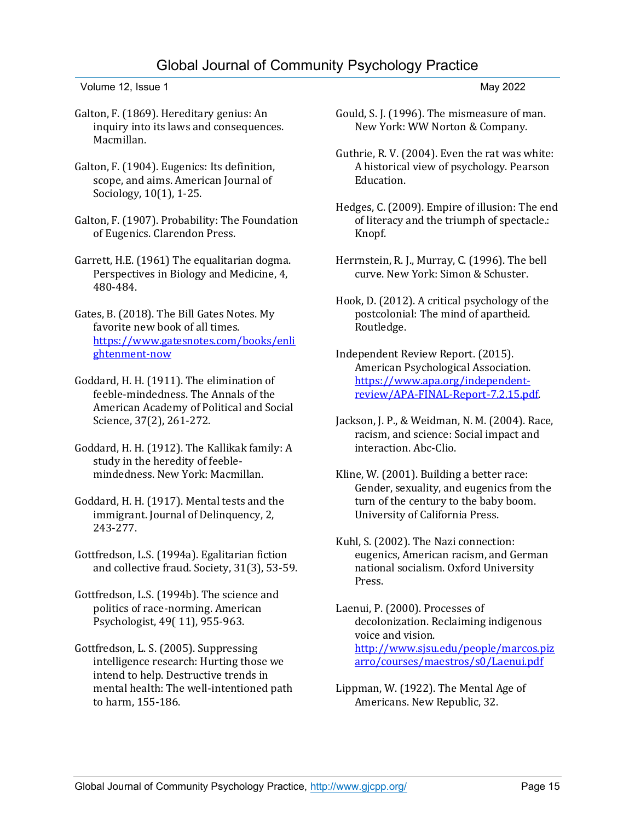## Global Journal of Community Psychology Practice

Volume 12, Issue 1 May 2022

- Galton, F. (1869). Hereditary genius: An inquiry into its laws and consequences. Macmillan.
- Galton, F. (1904). Eugenics: Its definition, scope, and aims. American Journal of Sociology, 10(1), 1-25.
- Galton, F. (1907). Probability: The Foundation of Eugenics. Clarendon Press.
- Garrett, H.E. (1961) The equalitarian dogma. Perspectives in Biology and Medicine, 4, 480-484.
- Gates, B. (2018). The Bill Gates Notes. My favorite new book of all times. [https://www.gatesnotes.com/books/enli](https://www.gatesnotes.com/books/enlightenment-now) [ghtenment-now](https://www.gatesnotes.com/books/enlightenment-now)
- Goddard, H. H. (1911). The elimination of feeble-mindedness. The Annals of the American Academy of Political and Social Science, 37(2), 261-272.
- Goddard, H. H. (1912). The Kallikak family: A study in the heredity of feeblemindedness. New York: Macmillan.
- Goddard, H. H. (1917). Mental tests and the immigrant. Journal of Delinquency, 2, 243-277.
- Gottfredson, L.S. (1994a). Egalitarian fiction and collective fraud. Society, 31(3), 53-59.
- Gottfredson, L.S. (1994b). The science and politics of race-norming. American Psychologist, 49( 11), 955-963.
- Gottfredson, L. S. (2005). Suppressing intelligence research: Hurting those we intend to help. Destructive trends in mental health: The well-intentioned path to harm, 155-186.
- Gould, S. J. (1996). The mismeasure of man. New York: WW Norton & Company.
- Guthrie, R. V. (2004). Even the rat was white: A historical view of psychology. Pearson Education.
- Hedges, C. (2009). Empire of illusion: The end of literacy and the triumph of spectacle.: Knopf.
- Herrnstein, R. J., Murray, C. (1996). The bell curve. New York: Simon & Schuster.
- Hook, D. (2012). A critical psychology of the postcolonial: The mind of apartheid. Routledge.
- Independent Review Report. (2015). American Psychological Association. [https://www.apa.org/independent](https://www.apa.org/independent-review/APA-FINAL-Report-7.2.15.pdf)[review/APA-FINAL-Report-7.2.15.pdf.](https://www.apa.org/independent-review/APA-FINAL-Report-7.2.15.pdf)
- Jackson, J. P., & Weidman, N. M. (2004). Race, racism, and science: Social impact and interaction. Abc-Clio.
- Kline, W. (2001). Building a better race: Gender, sexuality, and eugenics from the turn of the century to the baby boom. University of California Press.
- Kuhl, S. (2002). The Nazi connection: eugenics, American racism, and German national socialism. Oxford University Press.

Laenui, P. (2000). Processes of decolonization. Reclaiming indigenous voice and vision. [http://www.sjsu.edu/people/marcos.piz](http://www.sjsu.edu/people/marcos.pizarro/courses/maestros/s0/Laenui.pdf) [arro/courses/maestros/s0/Laenui.pdf](http://www.sjsu.edu/people/marcos.pizarro/courses/maestros/s0/Laenui.pdf)

Lippman, W. (1922). The Mental Age of Americans. New Republic, 32.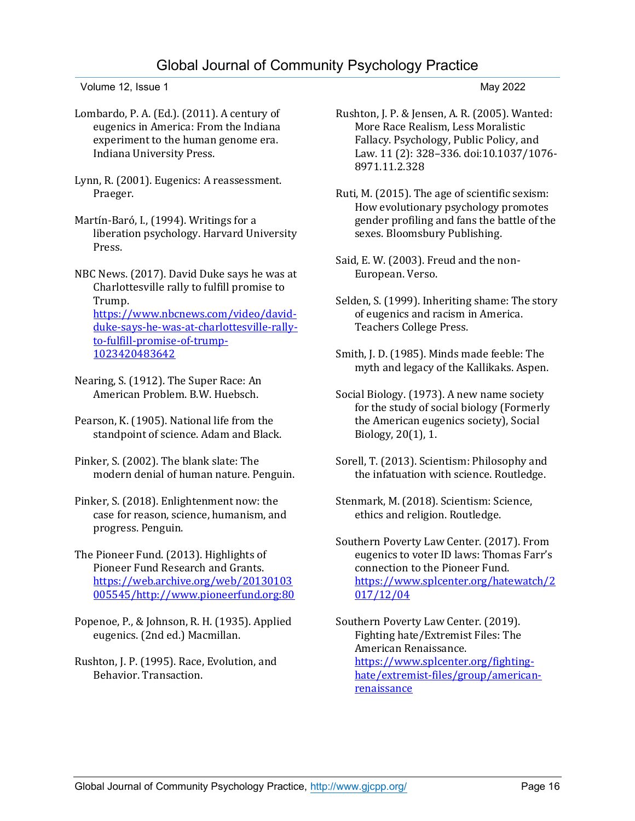## Global Journal of Community Psychology Practice

Volume 12, Issue 1 May 2022

Lombardo, P. A. (Ed.). (2011). A century of eugenics in America: From the Indiana experiment to the human genome era. Indiana University Press.

Lynn, R. (2001). Eugenics: A reassessment. Praeger.

Martín-Baró, I., (1994). Writings for a liberation psychology. Harvard University Press.

NBC News. (2017). David Duke says he was at Charlottesville rally to fulfill promise to Trump. [https://www.nbcnews.com/video/david](https://www.nbcnews.com/video/david-duke-says-he-was-at-charlottesville-rally-to-fulfill-promise-of-trump-1023420483642)[duke-says-he-was-at-charlottesville-rally](https://www.nbcnews.com/video/david-duke-says-he-was-at-charlottesville-rally-to-fulfill-promise-of-trump-1023420483642)[to-fulfill-promise-of-trump-](https://www.nbcnews.com/video/david-duke-says-he-was-at-charlottesville-rally-to-fulfill-promise-of-trump-1023420483642)[1023420483642](https://www.nbcnews.com/video/david-duke-says-he-was-at-charlottesville-rally-to-fulfill-promise-of-trump-1023420483642)

Nearing, S. (1912). The Super Race: An American Problem. B.W. Huebsch.

Pearson, K. (1905). National life from the standpoint of science. Adam and Black.

Pinker, S. (2002). The blank slate: The modern denial of human nature. Penguin.

Pinker, S. (2018). Enlightenment now: the case for reason, science, humanism, and progress. Penguin.

The Pioneer Fund. (2013). Highlights of Pioneer Fund Research and Grants. [https://web.archive.org/web/20130103](https://web.archive.org/web/20130103005545/http:/www.pioneerfund.org:80) [005545/http://www.pioneerfund.org:80](https://web.archive.org/web/20130103005545/http:/www.pioneerfund.org:80)

- Popenoe, P., & Johnson, R. H. (1935). Applied eugenics. (2nd ed.) Macmillan.
- Rushton, J. P. (1995). Race, Evolution, and Behavior. Transaction.
- Rushton, J. P. & Jensen, A. R. (2005). Wanted: More Race Realism, Less Moralistic Fallacy. Psychology, Public Policy, and Law. 11 (2): 328–336. doi:10.1037/1076- 8971.11.2.328
- Ruti, M. (2015). The age of scientific sexism: How evolutionary psychology promotes gender profiling and fans the battle of the sexes. Bloomsbury Publishing.
- Said, E. W. (2003). Freud and the non-European. Verso.
- Selden, S. (1999). Inheriting shame: The story of eugenics and racism in America. Teachers College Press.
- Smith, J. D. (1985). Minds made feeble: The myth and legacy of the Kallikaks. Aspen.
- Social Biology. (1973). A new name society for the study of social biology (Formerly the American eugenics society), Social Biology, 20(1), 1.
- Sorell, T. (2013). Scientism: Philosophy and the infatuation with science. Routledge.
- Stenmark, M. (2018). Scientism: Science, ethics and religion. Routledge.

Southern Poverty Law Center. (2017). From eugenics to voter ID laws: Thomas Farr's connection to the Pioneer Fund. [https://www.splcenter.org/hatewatch/2](https://www.splcenter.org/hatewatch/2017/12/04) [017/12/04](https://www.splcenter.org/hatewatch/2017/12/04)

Southern Poverty Law Center. (2019). Fighting hate/Extremist Files: The American Renaissance. [https://www.splcenter.org/fighting](https://www.splcenter.org/fighting-hate/extremist-files/group/american-renaissance)[hate/extremist-files/group/american](https://www.splcenter.org/fighting-hate/extremist-files/group/american-renaissance)[renaissance](https://www.splcenter.org/fighting-hate/extremist-files/group/american-renaissance)